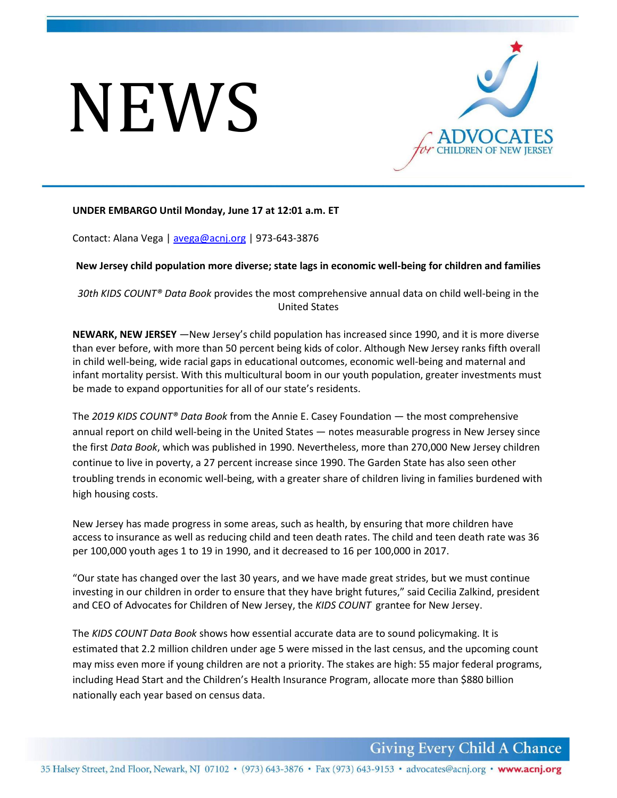# NEWS



# **UNDER EMBARGO Until Monday, June 17 at 12:01 a.m. ET**

Contact: Alana Vega | [avega@acnj.org](mailto:avega@acnj.org) | 973-643-3876

**New Jersey child population more diverse; state lags in economic well-being for children and families**

*30th KIDS COUNT® Data Book* provides the most comprehensive annual data on child well-being in the United States

**NEWARK, NEW JERSEY** —New Jersey's child population has increased since 1990, and it is more diverse than ever before, with more than 50 percent being kids of color. Although New Jersey ranks fifth overall in child well-being, wide racial gaps in educational outcomes, economic well-being and maternal and infant mortality persist. With this multicultural boom in our youth population, greater investments must be made to expand opportunities for all of our state's residents.

The *2019 KIDS COUNT® Data Book* from the Annie E. Casey Foundation — the most comprehensive annual report on child well-being in the United States — notes measurable progress in New Jersey since the first *Data Book*, which was published in 1990. Nevertheless, more than 270,000 New Jersey children continue to live in poverty, a 27 percent increase since 1990. The Garden State has also seen other troubling trends in economic well-being, with a greater share of children living in families burdened with high housing costs.

New Jersey has made progress in some areas, such as health, by ensuring that more children have access to insurance as well as reducing child and teen death rates. The child and teen death rate was 36 per 100,000 youth ages 1 to 19 in 1990, and it decreased to 16 per 100,000 in 2017.

"Our state has changed over the last 30 years, and we have made great strides, but we must continue investing in our children in order to ensure that they have bright futures," said Cecilia Zalkind, president and CEO of Advocates for Children of New Jersey, the *KIDS COUNT* grantee for New Jersey.

The *KIDS COUNT Data Book* shows how essential accurate data are to sound policymaking. It is estimated that 2.2 million children under age 5 were missed in the last census, and the upcoming count may miss even more if young children are not a priority. The stakes are high: 55 major federal programs, including Head Start and the Children's Health Insurance Program, allocate more than \$880 billion nationally each year based on census data.

**Giving Every Child A Chance**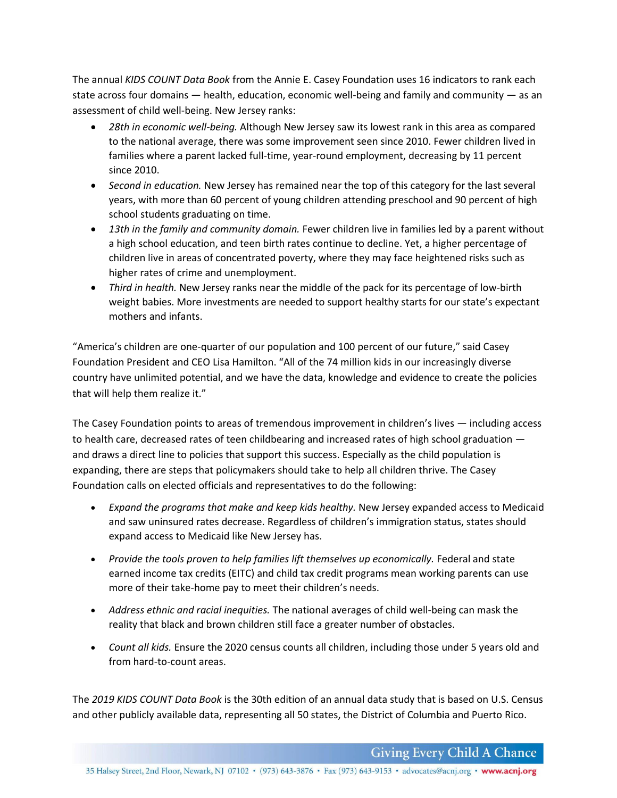The annual *KIDS COUNT Data Book* from the Annie E. Casey Foundation uses 16 indicators to rank each state across four domains  $-$  health, education, economic well-being and family and community  $-$  as an assessment of child well-being. New Jersey ranks:

- *28th in economic well-being.* Although New Jersey saw its lowest rank in this area as compared to the national average, there was some improvement seen since 2010. Fewer children lived in families where a parent lacked full-time, year-round employment, decreasing by 11 percent since 2010.
- *Second in education.* New Jersey has remained near the top of this category for the last several years, with more than 60 percent of young children attending preschool and 90 percent of high school students graduating on time.
- *13th in the family and community domain.* Fewer children live in families led by a parent without a high school education, and teen birth rates continue to decline. Yet, a higher percentage of children live in areas of concentrated poverty, where they may face heightened risks such as higher rates of crime and unemployment.
- *Third in health.* New Jersey ranks near the middle of the pack for its percentage of low-birth weight babies. More investments are needed to support healthy starts for our state's expectant mothers and infants.

"America's children are one-quarter of our population and 100 percent of our future," said Casey Foundation President and CEO Lisa Hamilton. "All of the 74 million kids in our increasingly diverse country have unlimited potential, and we have the data, knowledge and evidence to create the policies that will help them realize it."

The Casey Foundation points to areas of tremendous improvement in children's lives — including access to health care, decreased rates of teen childbearing and increased rates of high school graduation and draws a direct line to policies that support this success. Especially as the child population is expanding, there are steps that policymakers should take to help all children thrive. The Casey Foundation calls on elected officials and representatives to do the following:

- *Expand the programs that make and keep kids healthy.* New Jersey expanded access to Medicaid and saw uninsured rates decrease. Regardless of children's immigration status, states should expand access to Medicaid like New Jersey has.
- Provide the tools proven to help families lift themselves up economically. Federal and state earned income tax credits (EITC) and child tax credit programs mean working parents can use more of their take-home pay to meet their children's needs.
- *Address ethnic and racial inequities.* The national averages of child well-being can mask the reality that black and brown children still face a greater number of obstacles.
- *Count all kids.* Ensure the 2020 census counts all children, including those under 5 years old and from hard-to-count areas.

The *2019 KIDS COUNT Data Book* is the 30th edition of an annual data study that is based on U.S. Census and other publicly available data, representing all 50 states, the District of Columbia and Puerto Rico.

**Giving Every Child A Chance**